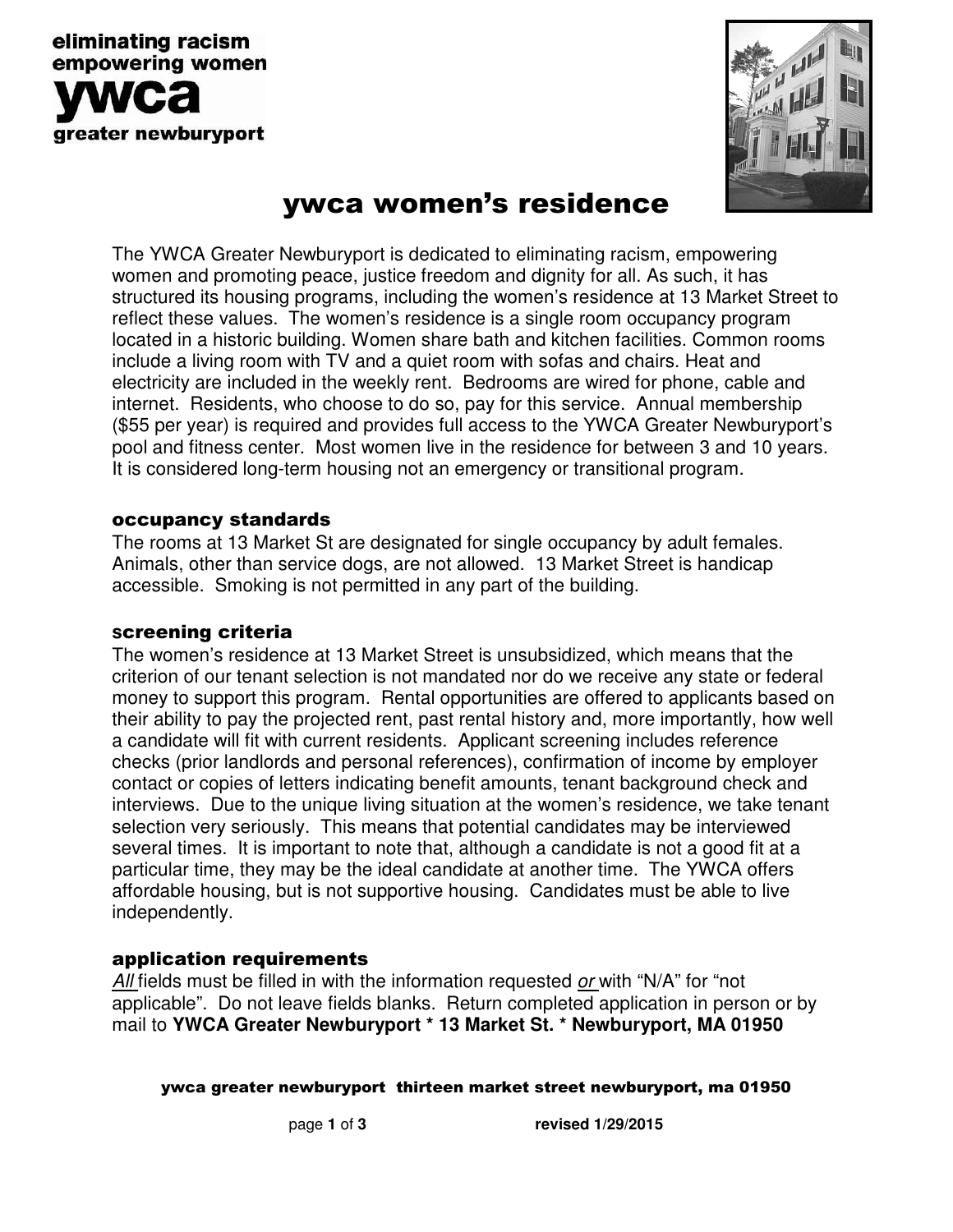



# ywca women's residence

The YWCA Greater Newburyport is dedicated to eliminating racism, empowering women and promoting peace, justice freedom and dignity for all. As such, it has structured its housing programs, including the women's residence at 13 Market Street to reflect these values. The women's residence is a single room occupancy program located in a historic building. Women share bath and kitchen facilities. Common rooms include a living room with TV and a quiet room with sofas and chairs. Heat and electricity are included in the weekly rent. Bedrooms are wired for phone, cable and internet. Residents, who choose to do so, pay for this service. Annual membership (\$55 per year) is required and provides full access to the YWCA Greater Newburyport's pool and fitness center. Most women live in the residence for between 3 and 10 years. It is considered long-term housing not an emergency or transitional program.

### occupancy standards

The rooms at 13 Market St are designated for single occupancy by adult females. Animals, other than service dogs, are not allowed. 13 Market Street is handicap accessible. Smoking is not permitted in any part of the building.

#### **s**creening criteria

The women's residence at 13 Market Street is unsubsidized, which means that the criterion of our tenant selection is not mandated nor do we receive any state or federal money to support this program. Rental opportunities are offered to applicants based on their ability to pay the projected rent, past rental history and, more importantly, how well a candidate will fit with current residents. Applicant screening includes reference checks (prior landlords and personal references), confirmation of income by employer contact or copies of letters indicating benefit amounts, tenant background check and interviews. Due to the unique living situation at the women's residence, we take tenant selection very seriously. This means that potential candidates may be interviewed several times. It is important to note that, although a candidate is not a good fit at a particular time, they may be the ideal candidate at another time. The YWCA offers affordable housing, but is not supportive housing. Candidates must be able to live independently.

### application requirements

All fields must be filled in with the information requested or with "N/A" for "not applicable". Do not leave fields blanks. Return completed application in person or by mail to **YWCA Greater Newburyport \* 13 Market St. \* Newburyport, MA 01950** 

ywca greater newburyport thirteen market street newburyport, ma 01950

page **1** of **3 revised 1/29/2015**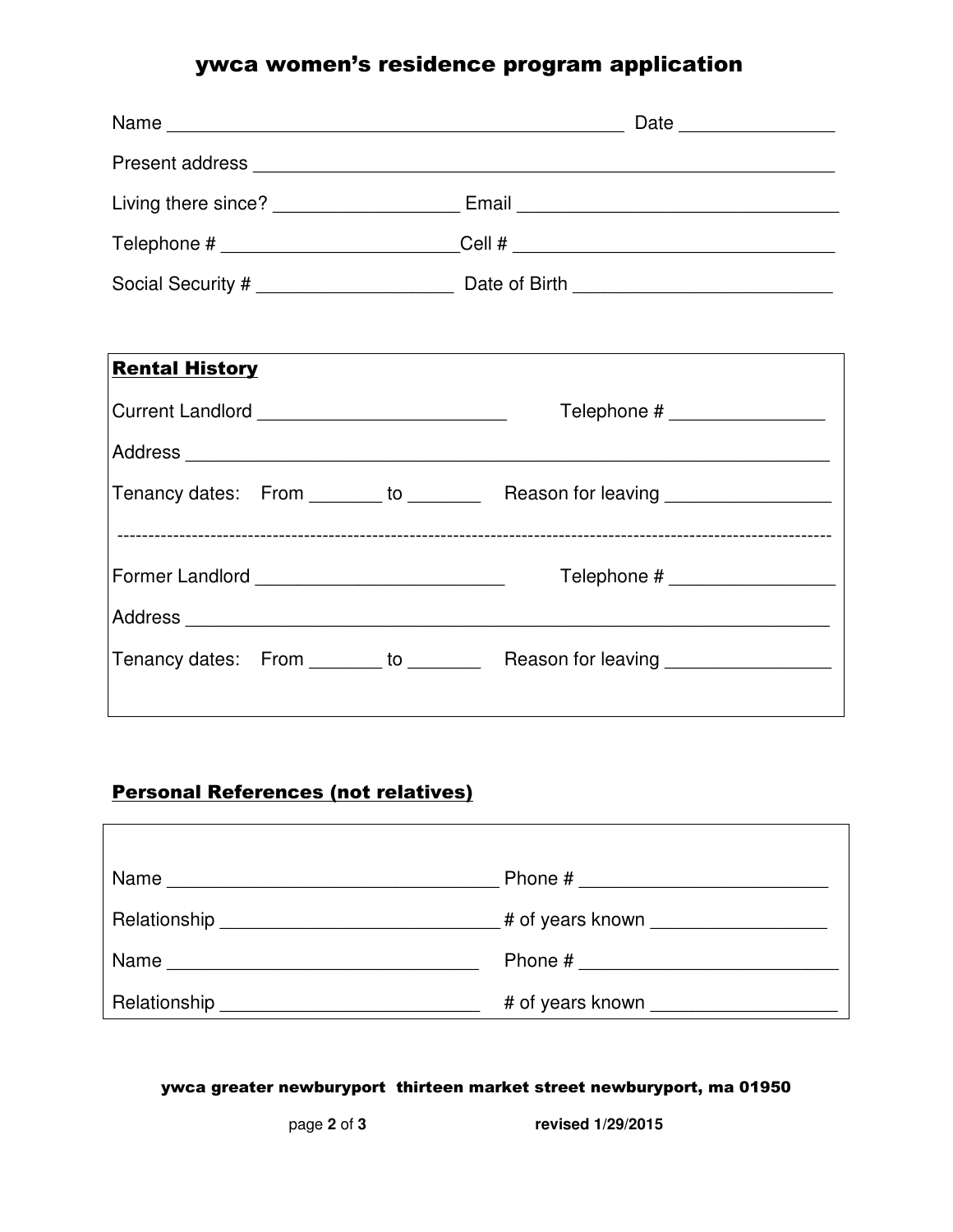# ywca women's residence program application

|                                                  | Living there since? ____________________________Email ___________________________ |  |  |
|--------------------------------------------------|-----------------------------------------------------------------------------------|--|--|
|                                                  |                                                                                   |  |  |
|                                                  |                                                                                   |  |  |
|                                                  |                                                                                   |  |  |
| <b>Rental History</b>                            |                                                                                   |  |  |
| Current Landlord _____________________________   | Telephone # __________________                                                    |  |  |
|                                                  |                                                                                   |  |  |
|                                                  | Tenancy dates: From _______ to _________ Reason for leaving ___________________   |  |  |
|                                                  |                                                                                   |  |  |
| Former Landlord ________________________________ | Telephone # ___________________                                                   |  |  |
|                                                  |                                                                                   |  |  |
|                                                  | Tenancy dates: From _______ to _________ Reason for leaving ___________________   |  |  |
|                                                  |                                                                                   |  |  |

## Personal References (not relatives)

| Name         |                  |
|--------------|------------------|
|              |                  |
| Name         | Phone #          |
| Relationship | # of years known |

#### ywca greater newburyport thirteen market street newburyport, ma 01950

page **2** of **3 revised 1/29/2015**

 $\overline{\phantom{a}}$